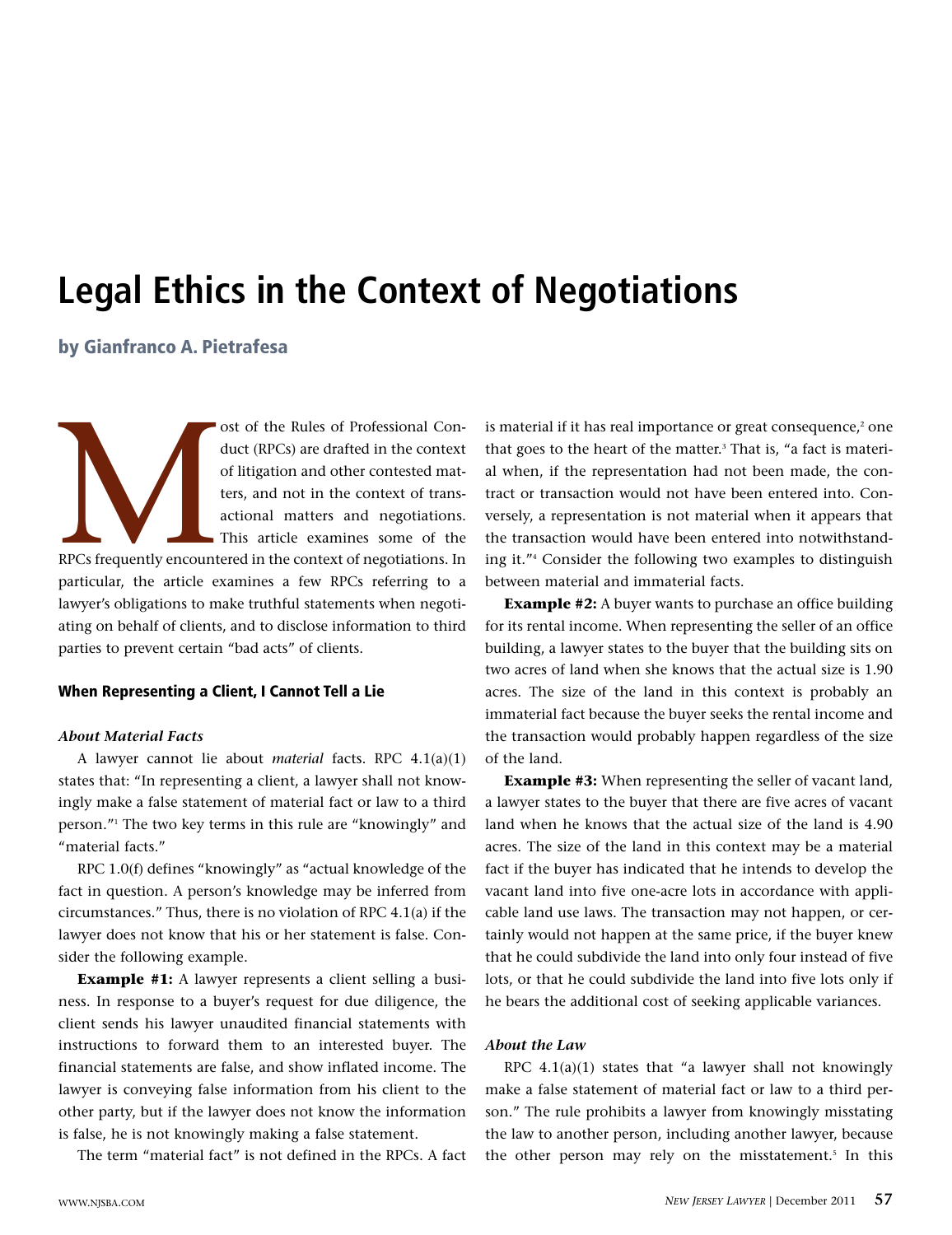# **Legal Ethics in the Context of Negotiations**

# **by Gianfranco A. Pietrafesa**

ost of the Rules of Professional Conduct (RPCs) are drafted in the context of litigation and other contested matters, and not in the context of trans-<br>actional matters and negotiations.<br>This article examines some of the RP duct (RPCs) are drafted in the context of litigation and other contested matters, and not in the context of transactional matters and negotiations. This article examines some of the RPCs frequently encountered in the context of negotiations. In particular, the article examines a few RPCs referring to a lawyer's obligations to make truthful statements when negoti-

ating on behalf of clients, and to disclose information to third parties to prevent certain "bad acts" of clients.

## **When Representing a Client, I Cannot Tell a Lie**

## *About Material Facts*

A lawyer cannot lie about *material* facts. RPC 4.1(a)(1) states that: "In representing a client, a lawyer shall not knowingly make a false statement of material fact or law to a third person."1 The two key terms in this rule are "knowingly" and "material facts."

RPC 1.0(f) defines "knowingly" as "actual knowledge of the fact in question. A person's knowledge may be inferred from circumstances." Thus, there is no violation of RPC 4.1(a) if the lawyer does not know that his or her statement is false. Consider the following example.

**Example #1:** A lawyer represents a client selling a business. In response to a buyer's request for due diligence, the client sends his lawyer unaudited financial statements with instructions to forward them to an interested buyer. The financial statements are false, and show inflated income. The lawyer is conveying false information from his client to the other party, but if the lawyer does not know the information is false, he is not knowingly making a false statement.

The term "material fact" is not defined in the RPCs. A fact

is material if it has real importance or great consequence, <sup>2</sup> one that goes to the heart of the matter. <sup>3</sup> That is, "a fact is material when, if the representation had not been made, the contract or transaction would not have been entered into. Conversely, a representation is not material when it appears that the transaction would have been entered into notwithstanding it."4 Consider the following two examples to distinguish between material and immaterial facts.

**Example #2:** A buyer wants to purchase an office building for its rental income. When representing the seller of an office building, a lawyer states to the buyer that the building sits on two acres of land when she knows that the actual size is 1.90 acres. The size of the land in this context is probably an immaterial fact because the buyer seeks the rental income and the transaction would probably happen regardless of the size of the land.

**Example #3:** When representing the seller of vacant land, a lawyer states to the buyer that there are five acres of vacant land when he knows that the actual size of the land is 4.90 acres. The size of the land in this context may be a material fact if the buyer has indicated that he intends to develop the vacant land into five one-acre lots in accordance with applicable land use laws. The transaction may not happen, or certainly would not happen at the same price, if the buyer knew that he could subdivide the land into only four instead of five lots, or that he could subdivide the land into five lots only if he bears the additional cost of seeking applicable variances.

#### *About the Law*

RPC  $4.1(a)(1)$  states that "a lawyer shall not knowingly make a false statement of material fact or law to a third person." The rule prohibits a lawyer from knowingly misstating the law to another person, including another lawyer, because the other person may rely on the misstatement. <sup>5</sup> In this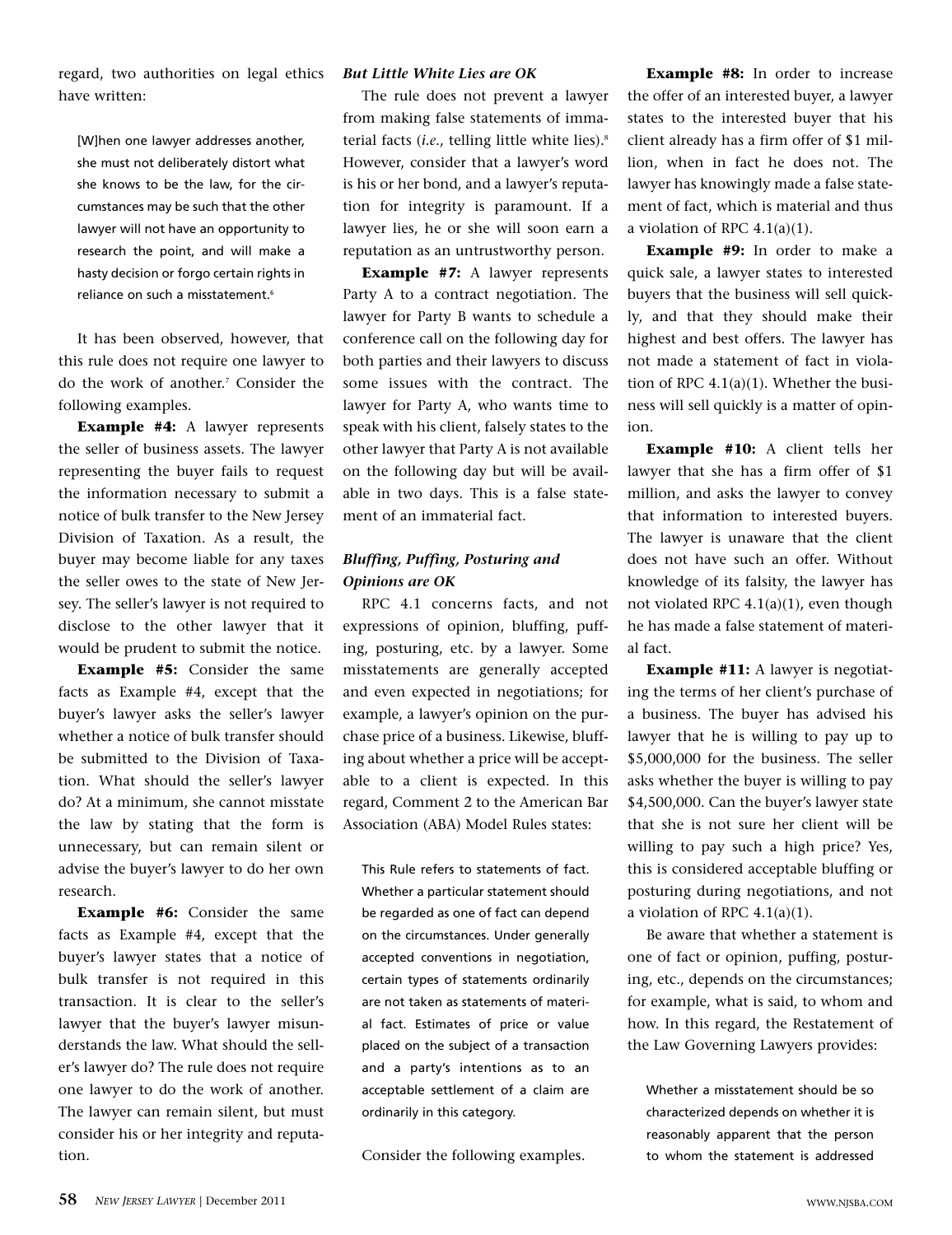regard, two authorities on legal ethics have written:

[W]hen one lawyer addresses another, she must not deliberately distort what she knows to be the law, for the circumstances may be such that the other lawyer will not have an opportunity to research the point, and will make a hasty decision or forgo certain rights in reliance on such a misstatement. 6

It has been observed, however, that this rule does not require one lawyer to do the work of another. <sup>7</sup> Consider the following examples.

**Example #4:** A lawyer represents the seller of business assets. The lawyer representing the buyer fails to request the information necessary to submit a notice of bulk transfer to the New Jersey Division of Taxation. As a result, the buyer may become liable for any taxes the seller owes to the state of New Jersey. The seller's lawyer is not required to disclose to the other lawyer that it would be prudent to submit the notice.

**Example #5:** Consider the same facts as Example #4, except that the buyer's lawyer asks the seller's lawyer whether a notice of bulk transfer should be submitted to the Division of Taxation. What should the seller's lawyer do? At a minimum, she cannot misstate the law by stating that the form is unnecessary, but can remain silent or advise the buyer's lawyer to do her own research.

**Example #6:** Consider the same facts as Example #4, except that the buyer's lawyer states that a notice of bulk transfer is not required in this transaction. It is clear to the seller's lawyer that the buyer's lawyer misunderstands the law. What should the seller's lawyer do? The rule does not require one lawyer to do the work of another. The lawyer can remain silent, but must consider his or her integrity and reputation.

#### *But Little White Lies are OK*

The rule does not prevent a lawyer from making false statements of immaterial facts (*i.e*., telling little white lies). 8 However, consider that a lawyer's word is his or her bond, and a lawyer's reputation for integrity is paramount. If a lawyer lies, he or she will soon earn a reputation as an untrustworthy person.

**Example #7:** A lawyer represents Party A to a contract negotiation. The lawyer for Party B wants to schedule a conference call on the following day for both parties and their lawyers to discuss some issues with the contract. The lawyer for Party A, who wants time to speak with his client, falsely states to the other lawyer that Party A is not available on the following day but will be available in two days. This is a false statement of an immaterial fact.

# *Bluffing, Puffing, Posturing and Opinions are OK*

RPC 4.1 concerns facts, and not expressions of opinion, bluffing, puffing, posturing, etc. by a lawyer. Some misstatements are generally accepted and even expected in negotiations; for example, a lawyer's opinion on the purchase price of a business. Likewise, bluffing about whether a price will be acceptable to a client is expected. In this regard, Comment 2 to the American Bar Association (ABA) Model Rules states:

This Rule refers to statements of fact. Whether a particular statement should be regarded as one of fact can depend on the circumstances. Under generally accepted conventions in negotiation, certain types of statements ordinarily are not taken as statements of material fact. Estimates of price or value placed on the subject of a transaction and a party's intentions as to an acceptable settlement of a claim are ordinarily in this category.

Consider the following examples.

**Example #8:** In order to increase the offer of an interested buyer, a lawyer states to the interested buyer that his client already has a firm offer of \$1 million, when in fact he does not. The lawyer has knowingly made a false statement of fact, which is material and thus a violation of RPC  $4.1(a)(1)$ .

**Example #9:** In order to make a quick sale, a lawyer states to interested buyers that the business will sell quickly, and that they should make their highest and best offers. The lawyer has not made a statement of fact in violation of RPC 4.1(a)(1). Whether the business will sell quickly is a matter of opinion.

**Example #10:** A client tells her lawyer that she has a firm offer of \$1 million, and asks the lawyer to convey that information to interested buyers. The lawyer is unaware that the client does not have such an offer. Without knowledge of its falsity, the lawyer has not violated RPC 4.1(a)(1), even though he has made a false statement of material fact.

**Example #11:** A lawyer is negotiating the terms of her client's purchase of a business. The buyer has advised his lawyer that he is willing to pay up to \$5,000,000 for the business. The seller asks whether the buyer is willing to pay \$4,500,000. Can the buyer's lawyer state that she is not sure her client will be willing to pay such a high price? Yes, this is considered acceptable bluffing or posturing during negotiations, and not a violation of RPC 4.1(a)(1).

Be aware that whether a statement is one of fact or opinion, puffing, posturing, etc., depends on the circumstances; for example, what is said, to whom and how. In this regard, the Restatement of the Law Governing Lawyers provides:

Whether a misstatement should be so characterized depends on whether it is reasonably apparent that the person to whom the statement is addressed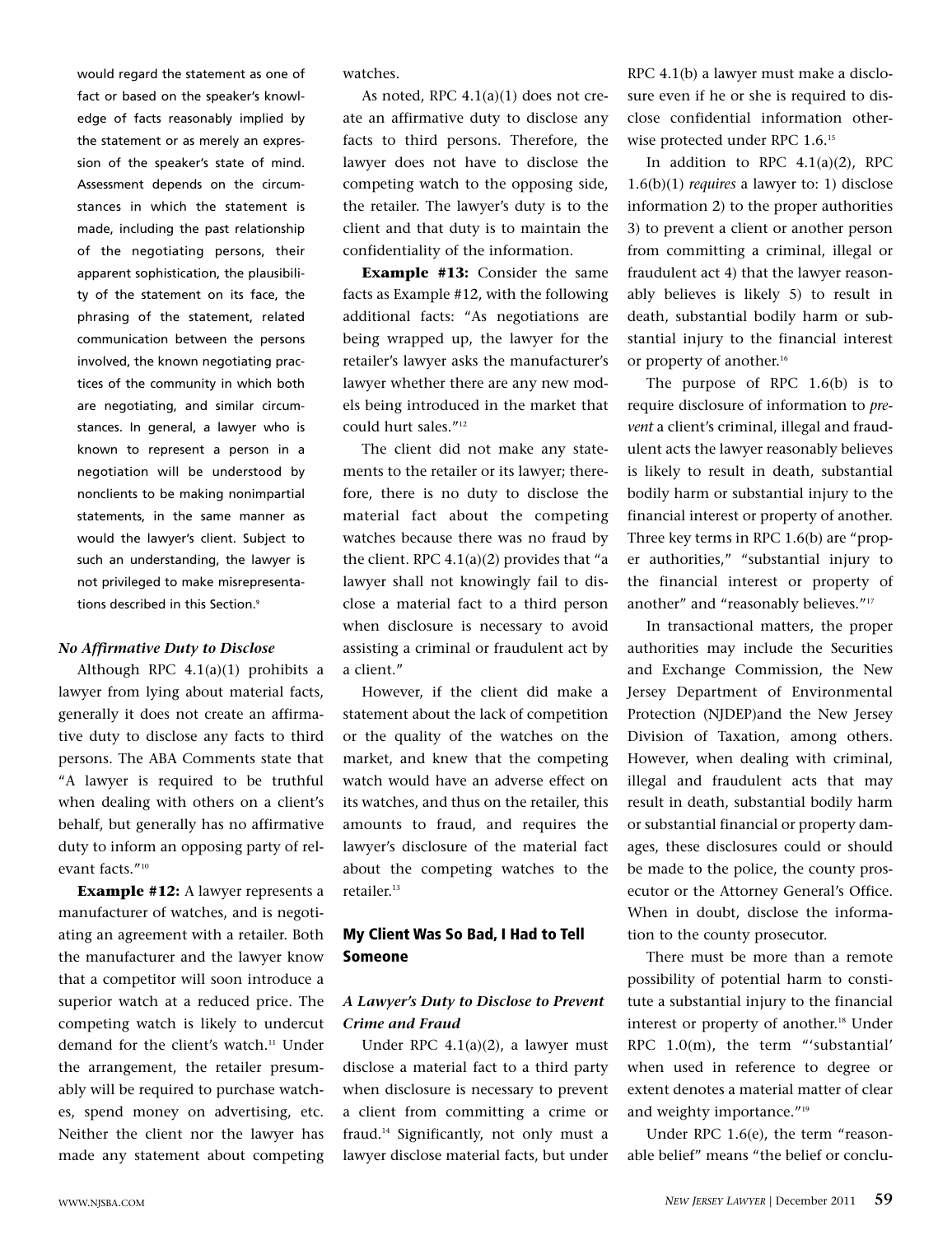would regard the statement as one of fact or based on the speaker's knowledge of facts reasonably implied by the statement or as merely an expression of the speaker's state of mind. Assessment depends on the circumstances in which the statement is made, including the past relationship of the negotiating persons, their apparent sophistication, the plausibility of the statement on its face, the phrasing of the statement, related communication between the persons involved, the known negotiating practices of the community in which both are negotiating, and similar circumstances. In general, a lawyer who is known to represent a person in a negotiation will be understood by nonclients to be making nonimpartial statements, in the same manner as would the lawyer's client. Subject to such an understanding, the lawyer is not privileged to make misrepresentations described in this Section. 9

## *No Affirmative Duty to Disclose*

Although RPC  $4.1(a)(1)$  prohibits a lawyer from lying about material facts, generally it does not create an affirmative duty to disclose any facts to third persons. The ABA Comments state that "A lawyer is required to be truthful when dealing with others on a client's behalf, but generally has no affirmative duty to inform an opposing party of relevant facts."10

**Example #12:** A lawyer represents a manufacturer of watches, and is negotiating an agreement with a retailer. Both the manufacturer and the lawyer know that a competitor will soon introduce a superior watch at a reduced price. The competing watch is likely to undercut demand for the client's watch. <sup>11</sup> Under the arrangement, the retailer presumably will be required to purchase watches, spend money on advertising, etc. Neither the client nor the lawyer has made any statement about competing watches.

As noted, RPC  $4.1(a)(1)$  does not create an affirmative duty to disclose any facts to third persons. Therefore, the lawyer does not have to disclose the competing watch to the opposing side, the retailer. The lawyer's duty is to the client and that duty is to maintain the confidentiality of the information.

**Example #13:** Consider the same facts as Example #12, with the following additional facts: "As negotiations are being wrapped up, the lawyer for the retailer's lawyer asks the manufacturer's lawyer whether there are any new models being introduced in the market that could hurt sales."12

The client did not make any statements to the retailer or its lawyer; therefore, there is no duty to disclose the material fact about the competing watches because there was no fraud by the client. RPC  $4.1(a)(2)$  provides that "a lawyer shall not knowingly fail to disclose a material fact to a third person when disclosure is necessary to avoid assisting a criminal or fraudulent act by a client."

However, if the client did make a statement about the lack of competition or the quality of the watches on the market, and knew that the competing watch would have an adverse effect on its watches, and thus on the retailer, this amounts to fraud, and requires the lawyer's disclosure of the material fact about the competing watches to the retailer. 13

# **My Client Was So Bad, I Had to Tell Someone**

## *A Lawyer's Duty to Disclose to Prevent Crime and Fraud*

Under RPC 4.1(a)(2), a lawyer must disclose a material fact to a third party when disclosure is necessary to prevent a client from committing a crime or fraud. <sup>14</sup> Significantly, not only must a lawyer disclose material facts, but under

RPC 4.1(b) a lawyer must make a disclosure even if he or she is required to disclose confidential information otherwise protected under RPC 1.6. 15

In addition to RPC  $4.1(a)(2)$ , RPC 1.6(b)(1) *requires* a lawyer to: 1) disclose information 2) to the proper authorities 3) to prevent a client or another person from committing a criminal, illegal or fraudulent act 4) that the lawyer reasonably believes is likely 5) to result in death, substantial bodily harm or substantial injury to the financial interest or property of another. 16

The purpose of RPC 1.6(b) is to require disclosure of information to *prevent* a client's criminal, illegal and fraudulent acts the lawyer reasonably believes is likely to result in death, substantial bodily harm or substantial injury to the financial interest or property of another. Three key terms in RPC 1.6(b) are "proper authorities," "substantial injury to the financial interest or property of another" and "reasonably believes."17

In transactional matters, the proper authorities may include the Securities and Exchange Commission, the New Jersey Department of Environmental Protection (NJDEP)and the New Jersey Division of Taxation, among others. However, when dealing with criminal, illegal and fraudulent acts that may result in death, substantial bodily harm or substantial financial or property damages, these disclosures could or should be made to the police, the county prosecutor or the Attorney General's Office. When in doubt, disclose the information to the county prosecutor.

There must be more than a remote possibility of potential harm to constitute a substantial injury to the financial interest or property of another. <sup>18</sup> Under RPC 1.0(m), the term "'substantial' when used in reference to degree or extent denotes a material matter of clear and weighty importance."19

Under RPC 1.6(e), the term "reasonable belief" means "the belief or conclu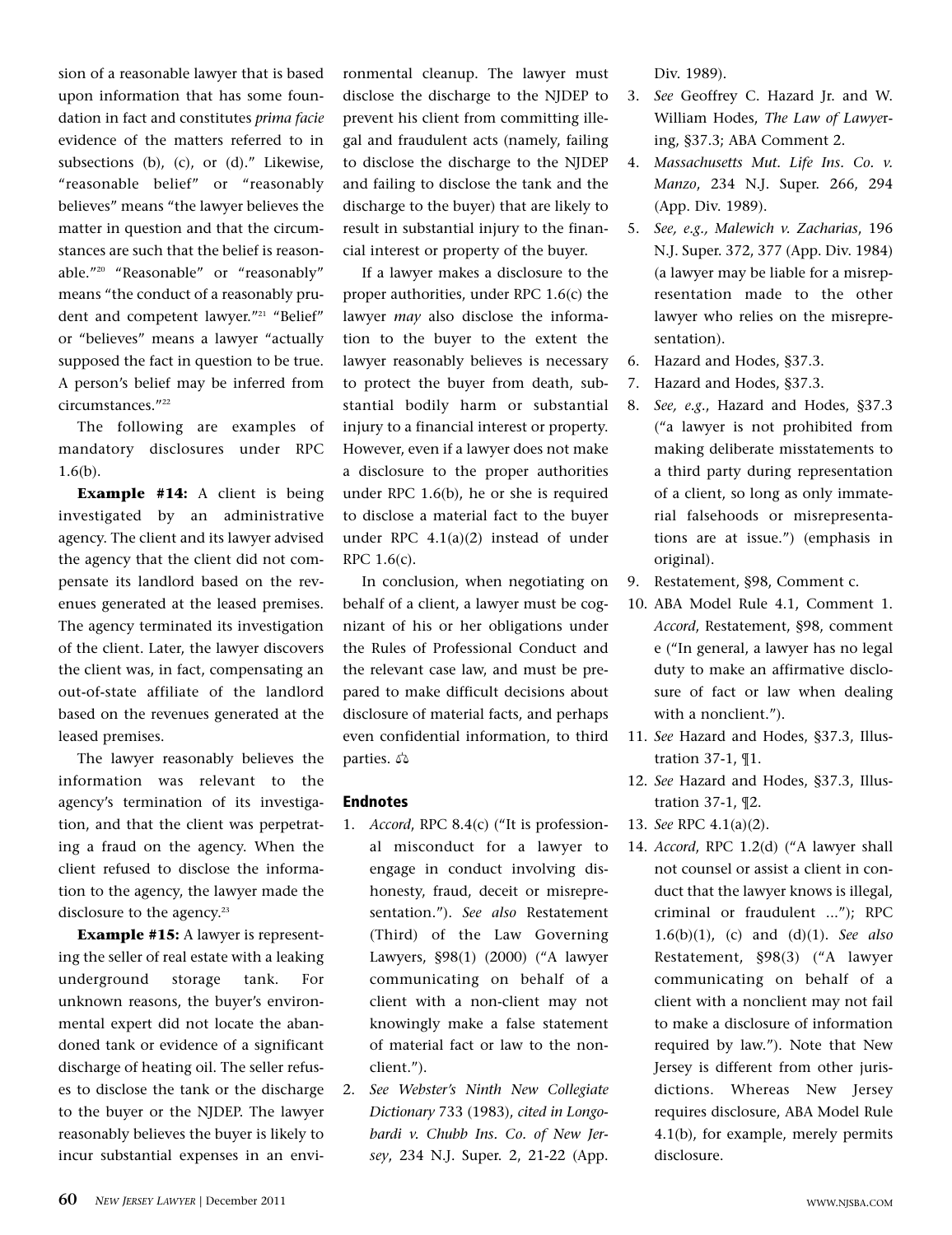sion of a reasonable lawyer that is based upon information that has some foundation in fact and constitutes *prima facie* evidence of the matters referred to in subsections (b), (c), or (d)." Likewise, "reasonable belief" or "reasonably believes" means "the lawyer believes the matter in question and that the circumstances are such that the belief is reasonable."20 "Reasonable" or "reasonably" means "the conduct of a reasonably prudent and competent lawyer."<sup>21</sup> "Belief" or "believes" means a lawyer "actually supposed the fact in question to be true. A person's belief may be inferred from circumstances."22

The following are examples of mandatory disclosures under RPC 1.6(b).

**Example #14:** A client is being investigated by an administrative agency. The client and its lawyer advised the agency that the client did not compensate its landlord based on the revenues generated at the leased premises. The agency terminated its investigation of the client. Later, the lawyer discovers the client was, in fact, compensating an out-of-state affiliate of the landlord based on the revenues generated at the leased premises.

The lawyer reasonably believes the information was relevant to the agency's termination of its investigation, and that the client was perpetrating a fraud on the agency. When the client refused to disclose the information to the agency, the lawyer made the disclosure to the agency. 23

**Example #15:** A lawyer is representing the seller of real estate with a leaking underground storage tank. For unknown reasons, the buyer's environmental expert did not locate the abandoned tank or evidence of a significant discharge of heating oil. The seller refuses to disclose the tank or the discharge to the buyer or the NJDEP. The lawyer reasonably believes the buyer is likely to incur substantial expenses in an environmental cleanup. The lawyer must disclose the discharge to the NJDEP to prevent his client from committing illegal and fraudulent acts (namely, failing to disclose the discharge to the NJDEP and failing to disclose the tank and the discharge to the buyer) that are likely to result in substantial injury to the financial interest or property of the buyer.

If a lawyer makes a disclosure to the proper authorities, under RPC 1.6(c) the lawyer *may* also disclose the information to the buyer to the extent the lawyer reasonably believes is necessary to protect the buyer from death, substantial bodily harm or substantial injury to a financial interest or property. However, even if a lawyer does not make a disclosure to the proper authorities under RPC 1.6(b), he or she is required to disclose a material fact to the buyer under RPC 4.1(a)(2) instead of under RPC 1.6(c).

In conclusion, when negotiating on behalf of a client, a lawyer must be cognizant of his or her obligations under the Rules of Professional Conduct and the relevant case law, and must be prepared to make difficult decisions about disclosure of material facts, and perhaps even confidential information, to third parties. **₫** 

#### **Endnotes**

- 1. *Accord*, RPC 8.4(c) ("It is professional misconduct for a lawyer to engage in conduct involving dishonesty, fraud, deceit or misrepresentation."). *See also* Restatement (Third) of the Law Governing Lawyers, §98(1) (2000) ("A lawyer communicating on behalf of a client with a non-client may not knowingly make a false statement of material fact or law to the nonclient.").
- 2. *See Webster's Ninth New Collegiate Dictionary* 733 (1983), *cited in Longobardi v. Chubb Ins. Co. of New Jersey*, 234 N.J. Super. 2, 21-22 (App.

Div. 1989).

- 3. *See* Geoffrey C. Hazard Jr. and W. William Hodes, *The Law of Lawye*ring, §37.3; ABA Comment 2.
- 4. *Massachusetts Mut. Life Ins. Co. v. Manzo*, 234 N.J. Super. 266, 294 (App. Div. 1989).
- 5. *See, e.g., Malewich v. Zacharias*, 196 N.J. Super. 372, 377 (App. Div. 1984) (a lawyer may be liable for a misrepresentation made to the other lawyer who relies on the misrepresentation).
- 6. Hazard and Hodes, §37.3.
- 7. Hazard and Hodes, §37.3.
- 8. *See, e.g*., Hazard and Hodes, §37.3 ("a lawyer is not prohibited from making deliberate misstatements to a third party during representation of a client, so long as only immaterial falsehoods or misrepresentations are at issue.") (emphasis in original).
- 9. Restatement, §98, Comment c.
- 10. ABA Model Rule 4.1, Comment 1. *Accord*, Restatement, §98, comment e ("In general, a lawyer has no legal duty to make an affirmative disclosure of fact or law when dealing with a nonclient.").
- 11. *See* Hazard and Hodes, §37.3, Illustration 37-1, ¶1.
- 12. *See* Hazard and Hodes, §37.3, Illustration 37-1, ¶2.
- 13. *See* RPC 4.1(a)(2).
- 14. *Accord*, RPC 1.2(d) ("A lawyer shall not counsel or assist a client in conduct that the lawyer knows is illegal, criminal or fraudulent ..."); RPC 1.6(b)(1), (c) and (d)(1). *See also* Restatement, §98(3) ("A lawyer communicating on behalf of a client with a nonclient may not fail to make a disclosure of information required by law."). Note that New Jersey is different from other jurisdictions. Whereas New Jersey requires disclosure, ABA Model Rule 4.1(b), for example, merely permits disclosure.